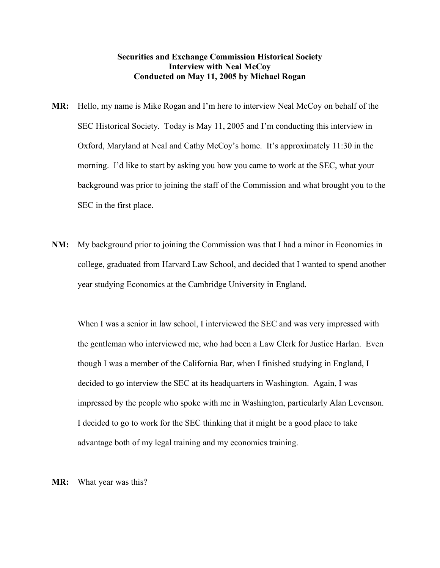## **Securities and Exchange Commission Historical Society Interview with Neal McCoy Conducted on May 11, 2005 by Michael Rogan**

- **MR:** Hello, my name is Mike Rogan and I'm here to interview Neal McCoy on behalf of the SEC Historical Society. Today is May 11, 2005 and I'm conducting this interview in Oxford, Maryland at Neal and Cathy McCoy's home. It's approximately 11:30 in the morning. I'd like to start by asking you how you came to work at the SEC, what your background was prior to joining the staff of the Commission and what brought you to the SEC in the first place.
- **NM:** My background prior to joining the Commission was that I had a minor in Economics in college, graduated from Harvard Law School, and decided that I wanted to spend another year studying Economics at the Cambridge University in England.

When I was a senior in law school, I interviewed the SEC and was very impressed with the gentleman who interviewed me, who had been a Law Clerk for Justice Harlan. Even though I was a member of the California Bar, when I finished studying in England, I decided to go interview the SEC at its headquarters in Washington. Again, I was impressed by the people who spoke with me in Washington, particularly Alan Levenson. I decided to go to work for the SEC thinking that it might be a good place to take advantage both of my legal training and my economics training.

**MR:** What year was this?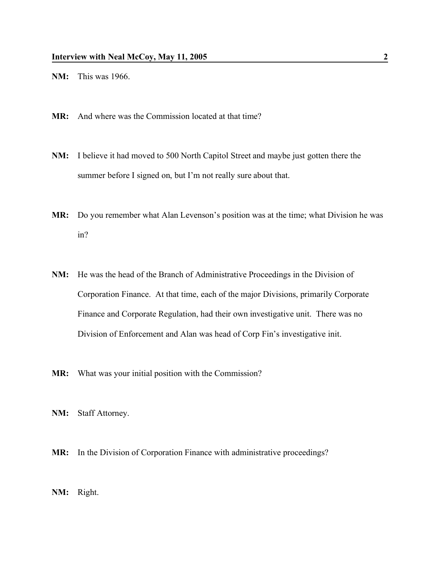- **NM:** This was 1966.
- **MR:** And where was the Commission located at that time?
- **NM:** I believe it had moved to 500 North Capitol Street and maybe just gotten there the summer before I signed on, but I'm not really sure about that.
- **MR:** Do you remember what Alan Levenson's position was at the time; what Division he was in?
- **NM:** He was the head of the Branch of Administrative Proceedings in the Division of Corporation Finance. At that time, each of the major Divisions, primarily Corporate Finance and Corporate Regulation, had their own investigative unit. There was no Division of Enforcement and Alan was head of Corp Fin's investigative init.
- **MR:** What was your initial position with the Commission?
- **NM:** Staff Attorney.
- **MR:** In the Division of Corporation Finance with administrative proceedings?
- **NM:** Right.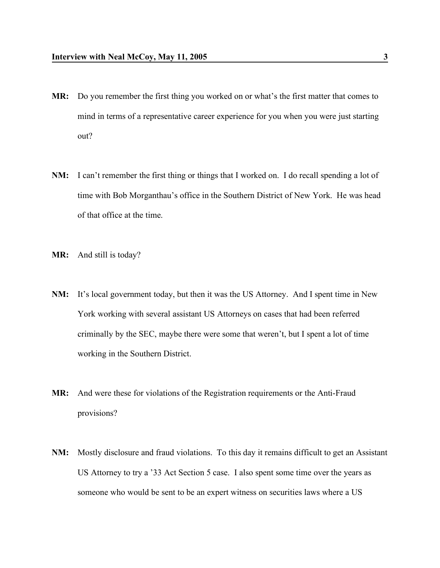- **MR:** Do you remember the first thing you worked on or what's the first matter that comes to mind in terms of a representative career experience for you when you were just starting out?
- **NM:** I can't remember the first thing or things that I worked on. I do recall spending a lot of time with Bob Morganthau's office in the Southern District of New York. He was head of that office at the time.
- **MR:** And still is today?
- **NM:** It's local government today, but then it was the US Attorney. And I spent time in New York working with several assistant US Attorneys on cases that had been referred criminally by the SEC, maybe there were some that weren't, but I spent a lot of time working in the Southern District.
- **MR:** And were these for violations of the Registration requirements or the Anti-Fraud provisions?
- **NM:** Mostly disclosure and fraud violations. To this day it remains difficult to get an Assistant US Attorney to try a '33 Act Section 5 case. I also spent some time over the years as someone who would be sent to be an expert witness on securities laws where a US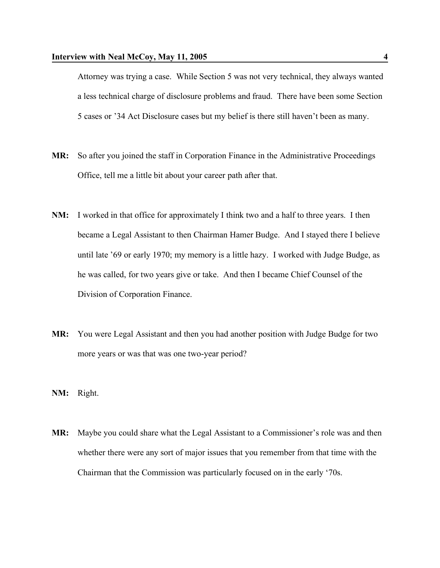Attorney was trying a case. While Section 5 was not very technical, they always wanted a less technical charge of disclosure problems and fraud. There have been some Section 5 cases or '34 Act Disclosure cases but my belief is there still haven't been as many.

- **MR:** So after you joined the staff in Corporation Finance in the Administrative Proceedings Office, tell me a little bit about your career path after that.
- **NM:** I worked in that office for approximately I think two and a half to three years. I then became a Legal Assistant to then Chairman Hamer Budge. And I stayed there I believe until late '69 or early 1970; my memory is a little hazy. I worked with Judge Budge, as he was called, for two years give or take. And then I became Chief Counsel of the Division of Corporation Finance.
- **MR:** You were Legal Assistant and then you had another position with Judge Budge for two more years or was that was one two-year period?
- **NM:** Right.
- **MR:** Maybe you could share what the Legal Assistant to a Commissioner's role was and then whether there were any sort of major issues that you remember from that time with the Chairman that the Commission was particularly focused on in the early '70s.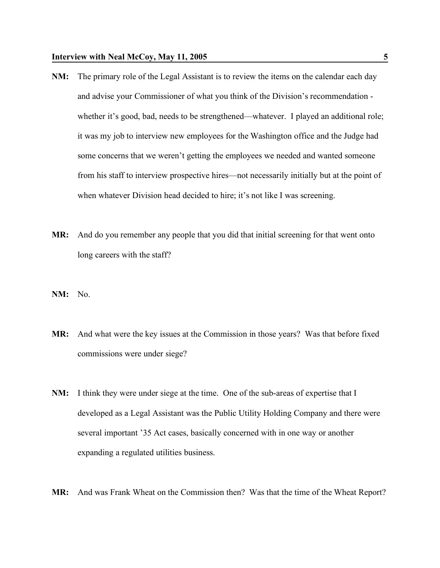- **NM:** The primary role of the Legal Assistant is to review the items on the calendar each day and advise your Commissioner of what you think of the Division's recommendation whether it's good, bad, needs to be strengthened—whatever. I played an additional role; it was my job to interview new employees for the Washington office and the Judge had some concerns that we weren't getting the employees we needed and wanted someone from his staff to interview prospective hires—not necessarily initially but at the point of when whatever Division head decided to hire; it's not like I was screening.
- **MR:** And do you remember any people that you did that initial screening for that went onto long careers with the staff?
- **NM:** No.
- **MR:** And what were the key issues at the Commission in those years? Was that before fixed commissions were under siege?
- **NM:** I think they were under siege at the time. One of the sub-areas of expertise that I developed as a Legal Assistant was the Public Utility Holding Company and there were several important '35 Act cases, basically concerned with in one way or another expanding a regulated utilities business.
- **MR:** And was Frank Wheat on the Commission then? Was that the time of the Wheat Report?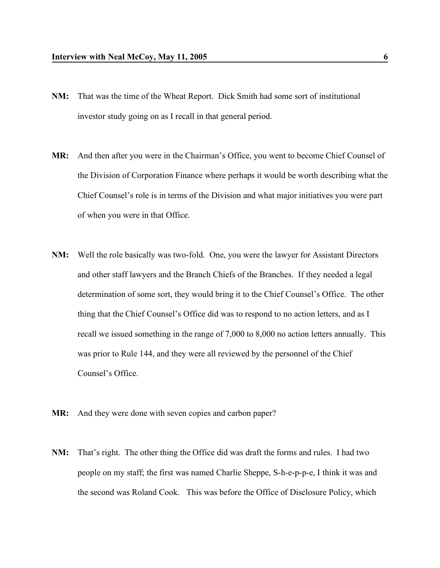- **NM:** That was the time of the Wheat Report. Dick Smith had some sort of institutional investor study going on as I recall in that general period.
- **MR:** And then after you were in the Chairman's Office, you went to become Chief Counsel of the Division of Corporation Finance where perhaps it would be worth describing what the Chief Counsel's role is in terms of the Division and what major initiatives you were part of when you were in that Office.
- **NM:** Well the role basically was two-fold. One, you were the lawyer for Assistant Directors and other staff lawyers and the Branch Chiefs of the Branches. If they needed a legal determination of some sort, they would bring it to the Chief Counsel's Office. The other thing that the Chief Counsel's Office did was to respond to no action letters, and as I recall we issued something in the range of 7,000 to 8,000 no action letters annually. This was prior to Rule 144, and they were all reviewed by the personnel of the Chief Counsel's Office.
- **MR:** And they were done with seven copies and carbon paper?
- **NM:** That's right. The other thing the Office did was draft the forms and rules. I had two people on my staff; the first was named Charlie Sheppe, S-h-e-p-p-e, I think it was and the second was Roland Cook. This was before the Office of Disclosure Policy, which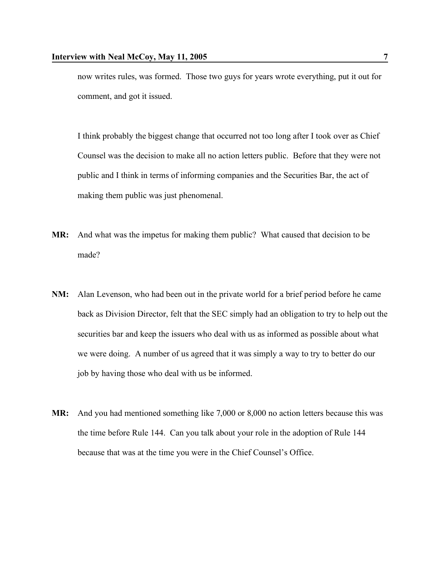now writes rules, was formed. Those two guys for years wrote everything, put it out for comment, and got it issued.

I think probably the biggest change that occurred not too long after I took over as Chief Counsel was the decision to make all no action letters public. Before that they were not public and I think in terms of informing companies and the Securities Bar, the act of making them public was just phenomenal.

- **MR:** And what was the impetus for making them public? What caused that decision to be made?
- **NM:** Alan Levenson, who had been out in the private world for a brief period before he came back as Division Director, felt that the SEC simply had an obligation to try to help out the securities bar and keep the issuers who deal with us as informed as possible about what we were doing. A number of us agreed that it was simply a way to try to better do our job by having those who deal with us be informed.
- **MR:** And you had mentioned something like 7,000 or 8,000 no action letters because this was the time before Rule 144. Can you talk about your role in the adoption of Rule 144 because that was at the time you were in the Chief Counsel's Office.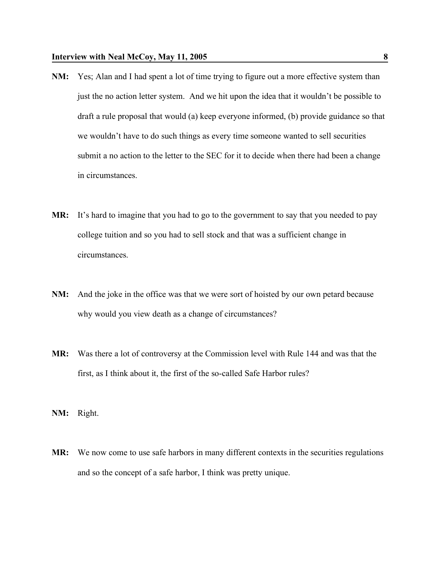- **NM:** Yes; Alan and I had spent a lot of time trying to figure out a more effective system than just the no action letter system. And we hit upon the idea that it wouldn't be possible to draft a rule proposal that would (a) keep everyone informed, (b) provide guidance so that we wouldn't have to do such things as every time someone wanted to sell securities submit a no action to the letter to the SEC for it to decide when there had been a change in circumstances.
- **MR:** It's hard to imagine that you had to go to the government to say that you needed to pay college tuition and so you had to sell stock and that was a sufficient change in circumstances.
- **NM:** And the joke in the office was that we were sort of hoisted by our own petard because why would you view death as a change of circumstances?
- **MR:** Was there a lot of controversy at the Commission level with Rule 144 and was that the first, as I think about it, the first of the so-called Safe Harbor rules?
- **NM:** Right.
- **MR:** We now come to use safe harbors in many different contexts in the securities regulations and so the concept of a safe harbor, I think was pretty unique.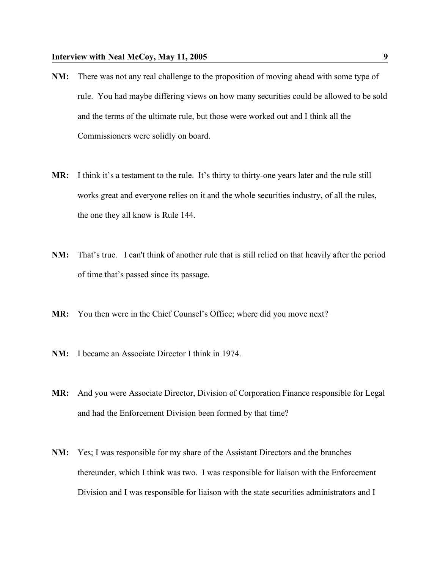- **NM:** There was not any real challenge to the proposition of moving ahead with some type of rule. You had maybe differing views on how many securities could be allowed to be sold and the terms of the ultimate rule, but those were worked out and I think all the Commissioners were solidly on board.
- **MR:** I think it's a testament to the rule. It's thirty to thirty-one years later and the rule still works great and everyone relies on it and the whole securities industry, of all the rules, the one they all know is Rule 144.
- **NM:** That's true. I can't think of another rule that is still relied on that heavily after the period of time that's passed since its passage.
- **MR:** You then were in the Chief Counsel's Office; where did you move next?
- **NM:** I became an Associate Director I think in 1974.
- **MR:** And you were Associate Director, Division of Corporation Finance responsible for Legal and had the Enforcement Division been formed by that time?
- **NM:** Yes; I was responsible for my share of the Assistant Directors and the branches thereunder, which I think was two. I was responsible for liaison with the Enforcement Division and I was responsible for liaison with the state securities administrators and I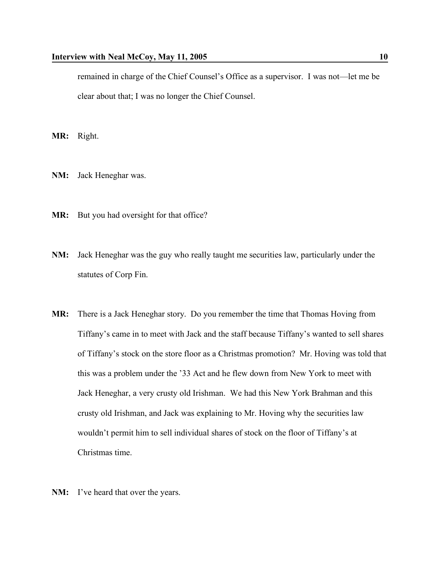remained in charge of the Chief Counsel's Office as a supervisor. I was not—let me be clear about that; I was no longer the Chief Counsel.

**MR:** Right.

- **NM:** Jack Heneghar was.
- MR: But you had oversight for that office?
- **NM:** Jack Heneghar was the guy who really taught me securities law, particularly under the statutes of Corp Fin.
- **MR:** There is a Jack Heneghar story. Do you remember the time that Thomas Hoving from Tiffany's came in to meet with Jack and the staff because Tiffany's wanted to sell shares of Tiffany's stock on the store floor as a Christmas promotion? Mr. Hoving was told that this was a problem under the '33 Act and he flew down from New York to meet with Jack Heneghar, a very crusty old Irishman. We had this New York Brahman and this crusty old Irishman, and Jack was explaining to Mr. Hoving why the securities law wouldn't permit him to sell individual shares of stock on the floor of Tiffany's at Christmas time.
- **NM:** I've heard that over the years.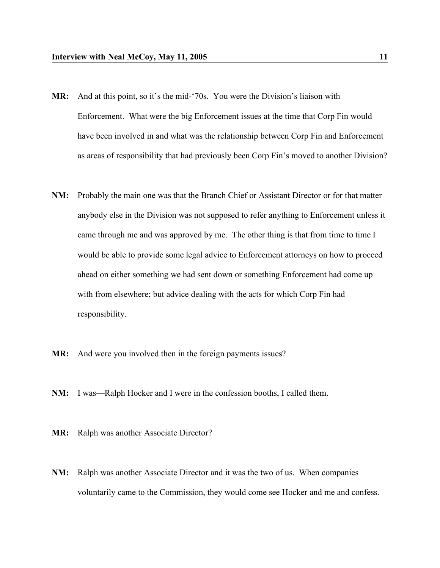- **MR:** And at this point, so it's the mid-'70s. You were the Division's liaison with Enforcement. What were the big Enforcement issues at the time that Corp Fin would have been involved in and what was the relationship between Corp Fin and Enforcement as areas of responsibility that had previously been Corp Fin's moved to another Division?
- **NM:** Probably the main one was that the Branch Chief or Assistant Director or for that matter anybody else in the Division was not supposed to refer anything to Enforcement unless it came through me and was approved by me. The other thing is that from time to time I would be able to provide some legal advice to Enforcement attorneys on how to proceed ahead on either something we had sent down or something Enforcement had come up with from elsewhere; but advice dealing with the acts for which Corp Fin had responsibility.
- **MR:** And were you involved then in the foreign payments issues?
- **NM:** I was—Ralph Hocker and I were in the confession booths, I called them.
- **MR:** Ralph was another Associate Director?
- **NM:** Ralph was another Associate Director and it was the two of us. When companies voluntarily came to the Commission, they would come see Hocker and me and confess.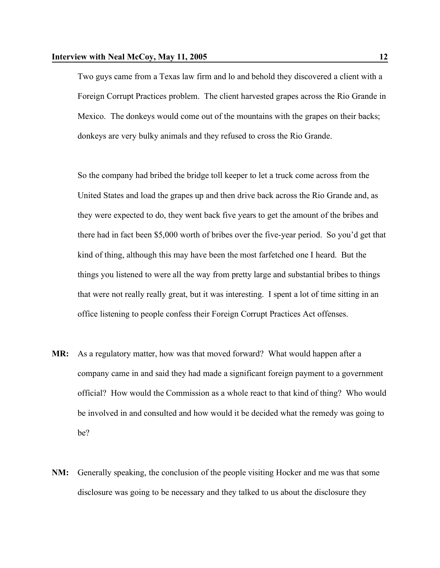Two guys came from a Texas law firm and lo and behold they discovered a client with a Foreign Corrupt Practices problem. The client harvested grapes across the Rio Grande in Mexico. The donkeys would come out of the mountains with the grapes on their backs; donkeys are very bulky animals and they refused to cross the Rio Grande.

So the company had bribed the bridge toll keeper to let a truck come across from the United States and load the grapes up and then drive back across the Rio Grande and, as they were expected to do, they went back five years to get the amount of the bribes and there had in fact been \$5,000 worth of bribes over the five-year period. So you'd get that kind of thing, although this may have been the most farfetched one I heard. But the things you listened to were all the way from pretty large and substantial bribes to things that were not really really great, but it was interesting. I spent a lot of time sitting in an office listening to people confess their Foreign Corrupt Practices Act offenses.

- **MR:** As a regulatory matter, how was that moved forward? What would happen after a company came in and said they had made a significant foreign payment to a government official? How would the Commission as a whole react to that kind of thing? Who would be involved in and consulted and how would it be decided what the remedy was going to be?
- **NM:** Generally speaking, the conclusion of the people visiting Hocker and me was that some disclosure was going to be necessary and they talked to us about the disclosure they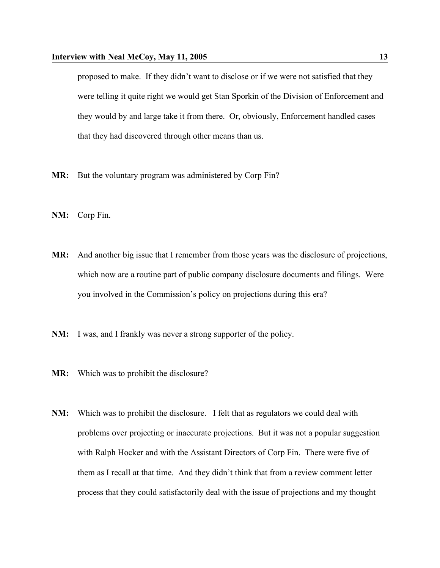proposed to make. If they didn't want to disclose or if we were not satisfied that they were telling it quite right we would get Stan Sporkin of the Division of Enforcement and they would by and large take it from there. Or, obviously, Enforcement handled cases that they had discovered through other means than us.

- **MR:** But the voluntary program was administered by Corp Fin?
- **NM:** Corp Fin.
- **MR:** And another big issue that I remember from those years was the disclosure of projections, which now are a routine part of public company disclosure documents and filings. Were you involved in the Commission's policy on projections during this era?
- **NM:** I was, and I frankly was never a strong supporter of the policy.
- **MR:** Which was to prohibit the disclosure?
- **NM:** Which was to prohibit the disclosure. I felt that as regulators we could deal with problems over projecting or inaccurate projections. But it was not a popular suggestion with Ralph Hocker and with the Assistant Directors of Corp Fin. There were five of them as I recall at that time. And they didn't think that from a review comment letter process that they could satisfactorily deal with the issue of projections and my thought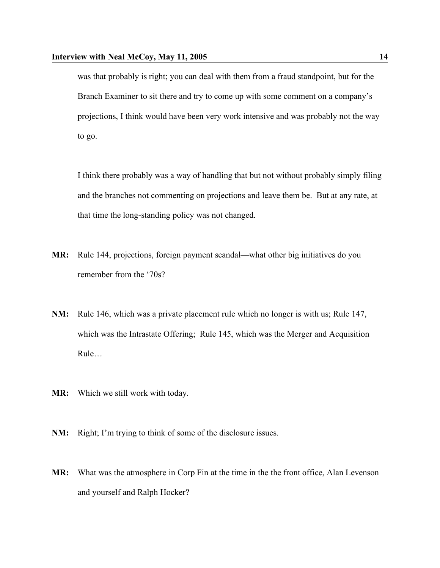was that probably is right; you can deal with them from a fraud standpoint, but for the Branch Examiner to sit there and try to come up with some comment on a company's projections, I think would have been very work intensive and was probably not the way to go.

I think there probably was a way of handling that but not without probably simply filing and the branches not commenting on projections and leave them be. But at any rate, at that time the long-standing policy was not changed.

- **MR:** Rule 144, projections, foreign payment scandal—what other big initiatives do you remember from the '70s?
- **NM:** Rule 146, which was a private placement rule which no longer is with us; Rule 147, which was the Intrastate Offering; Rule 145, which was the Merger and Acquisition Rule…
- **MR:** Which we still work with today.
- **NM:** Right; I'm trying to think of some of the disclosure issues.
- **MR:** What was the atmosphere in Corp Fin at the time in the the front office, Alan Levenson and yourself and Ralph Hocker?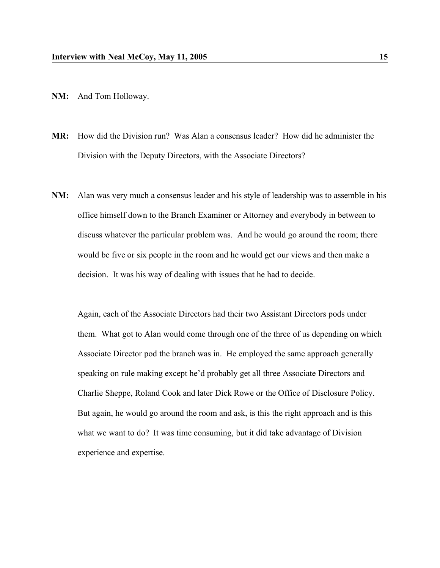- **NM:** And Tom Holloway.
- **MR:** How did the Division run? Was Alan a consensus leader? How did he administer the Division with the Deputy Directors, with the Associate Directors?
- **NM:** Alan was very much a consensus leader and his style of leadership was to assemble in his office himself down to the Branch Examiner or Attorney and everybody in between to discuss whatever the particular problem was. And he would go around the room; there would be five or six people in the room and he would get our views and then make a decision. It was his way of dealing with issues that he had to decide.

Again, each of the Associate Directors had their two Assistant Directors pods under them. What got to Alan would come through one of the three of us depending on which Associate Director pod the branch was in. He employed the same approach generally speaking on rule making except he'd probably get all three Associate Directors and Charlie Sheppe, Roland Cook and later Dick Rowe or the Office of Disclosure Policy. But again, he would go around the room and ask, is this the right approach and is this what we want to do? It was time consuming, but it did take advantage of Division experience and expertise.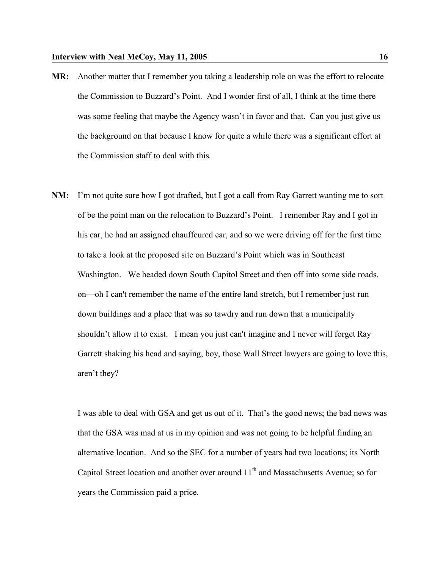- **MR:** Another matter that I remember you taking a leadership role on was the effort to relocate the Commission to Buzzard's Point. And I wonder first of all, I think at the time there was some feeling that maybe the Agency wasn't in favor and that. Can you just give us the background on that because I know for quite a while there was a significant effort at the Commission staff to deal with this.
- **NM:** I'm not quite sure how I got drafted, but I got a call from Ray Garrett wanting me to sort of be the point man on the relocation to Buzzard's Point. I remember Ray and I got in his car, he had an assigned chauffeured car, and so we were driving off for the first time to take a look at the proposed site on Buzzard's Point which was in Southeast Washington. We headed down South Capitol Street and then off into some side roads, on—oh I can't remember the name of the entire land stretch, but I remember just run down buildings and a place that was so tawdry and run down that a municipality shouldn't allow it to exist. I mean you just can't imagine and I never will forget Ray Garrett shaking his head and saying, boy, those Wall Street lawyers are going to love this, aren't they?

I was able to deal with GSA and get us out of it. That's the good news; the bad news was that the GSA was mad at us in my opinion and was not going to be helpful finding an alternative location. And so the SEC for a number of years had two locations; its North Capitol Street location and another over around  $11<sup>th</sup>$  and Massachusetts Avenue; so for years the Commission paid a price.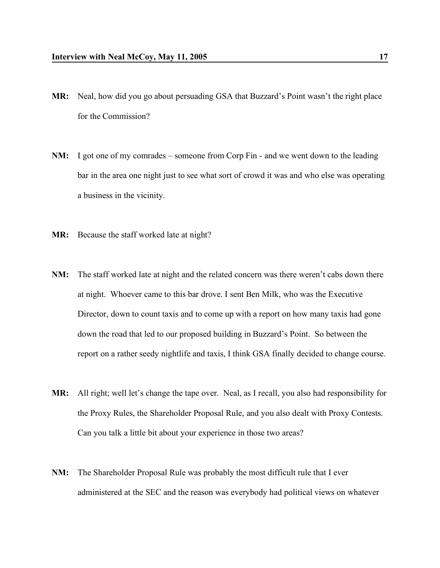- **MR:** Neal, how did you go about persuading GSA that Buzzard's Point wasn't the right place for the Commission?
- **NM:** I got one of my comrades someone from Corp Fin and we went down to the leading bar in the area one night just to see what sort of crowd it was and who else was operating a business in the vicinity.
- **MR:** Because the staff worked late at night?
- **NM:** The staff worked late at night and the related concern was there weren't cabs down there at night. Whoever came to this bar drove. I sent Ben Milk, who was the Executive Director, down to count taxis and to come up with a report on how many taxis had gone down the road that led to our proposed building in Buzzard's Point. So between the report on a rather seedy nightlife and taxis, I think GSA finally decided to change course.
- **MR:** All right; well let's change the tape over. Neal, as I recall, you also had responsibility for the Proxy Rules, the Shareholder Proposal Rule, and you also dealt with Proxy Contests. Can you talk a little bit about your experience in those two areas?
- **NM:** The Shareholder Proposal Rule was probably the most difficult rule that I ever administered at the SEC and the reason was everybody had political views on whatever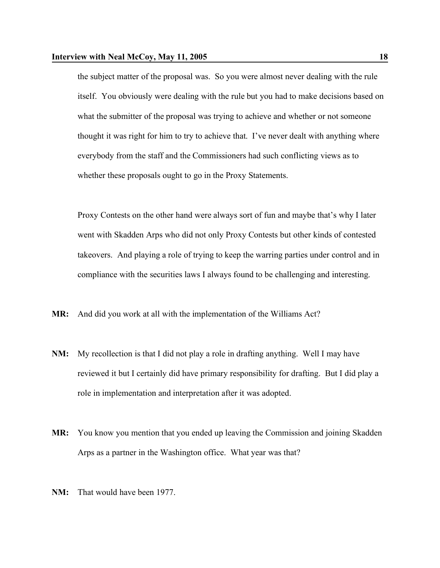the subject matter of the proposal was. So you were almost never dealing with the rule itself. You obviously were dealing with the rule but you had to make decisions based on what the submitter of the proposal was trying to achieve and whether or not someone thought it was right for him to try to achieve that. I've never dealt with anything where everybody from the staff and the Commissioners had such conflicting views as to whether these proposals ought to go in the Proxy Statements.

Proxy Contests on the other hand were always sort of fun and maybe that's why I later went with Skadden Arps who did not only Proxy Contests but other kinds of contested takeovers. And playing a role of trying to keep the warring parties under control and in compliance with the securities laws I always found to be challenging and interesting.

**MR:** And did you work at all with the implementation of the Williams Act?

- **NM:** My recollection is that I did not play a role in drafting anything. Well I may have reviewed it but I certainly did have primary responsibility for drafting. But I did play a role in implementation and interpretation after it was adopted.
- **MR:** You know you mention that you ended up leaving the Commission and joining Skadden Arps as a partner in the Washington office. What year was that?
- **NM:** That would have been 1977.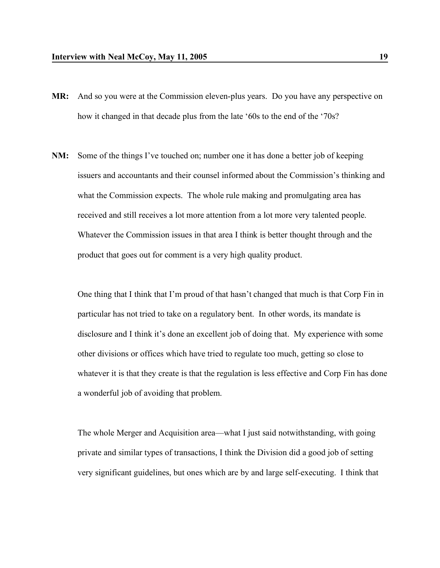- **MR:** And so you were at the Commission eleven-plus years. Do you have any perspective on how it changed in that decade plus from the late '60s to the end of the '70s?
- **NM:** Some of the things I've touched on; number one it has done a better job of keeping issuers and accountants and their counsel informed about the Commission's thinking and what the Commission expects. The whole rule making and promulgating area has received and still receives a lot more attention from a lot more very talented people. Whatever the Commission issues in that area I think is better thought through and the product that goes out for comment is a very high quality product.

One thing that I think that I'm proud of that hasn't changed that much is that Corp Fin in particular has not tried to take on a regulatory bent. In other words, its mandate is disclosure and I think it's done an excellent job of doing that. My experience with some other divisions or offices which have tried to regulate too much, getting so close to whatever it is that they create is that the regulation is less effective and Corp Fin has done a wonderful job of avoiding that problem.

The whole Merger and Acquisition area—what I just said notwithstanding, with going private and similar types of transactions, I think the Division did a good job of setting very significant guidelines, but ones which are by and large self-executing. I think that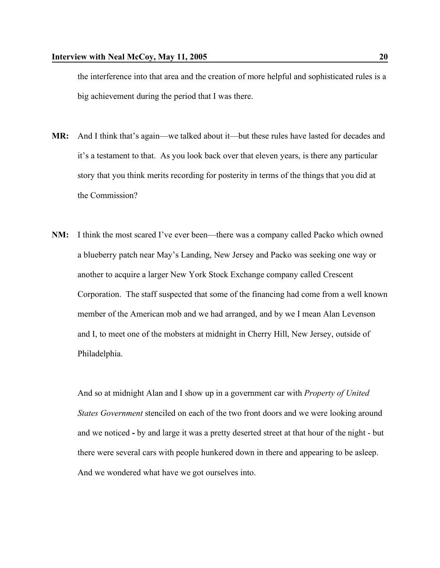the interference into that area and the creation of more helpful and sophisticated rules is a big achievement during the period that I was there.

- **MR:** And I think that's again—we talked about it—but these rules have lasted for decades and it's a testament to that. As you look back over that eleven years, is there any particular story that you think merits recording for posterity in terms of the things that you did at the Commission?
- **NM:** I think the most scared I've ever been—there was a company called Packo which owned a blueberry patch near May's Landing, New Jersey and Packo was seeking one way or another to acquire a larger New York Stock Exchange company called Crescent Corporation. The staff suspected that some of the financing had come from a well known member of the American mob and we had arranged, and by we I mean Alan Levenson and I, to meet one of the mobsters at midnight in Cherry Hill, New Jersey, outside of Philadelphia.

And so at midnight Alan and I show up in a government car with *Property of United States Government* stenciled on each of the two front doors and we were looking around and we noticed **-** by and large it was a pretty deserted street at that hour of the night - but there were several cars with people hunkered down in there and appearing to be asleep. And we wondered what have we got ourselves into.